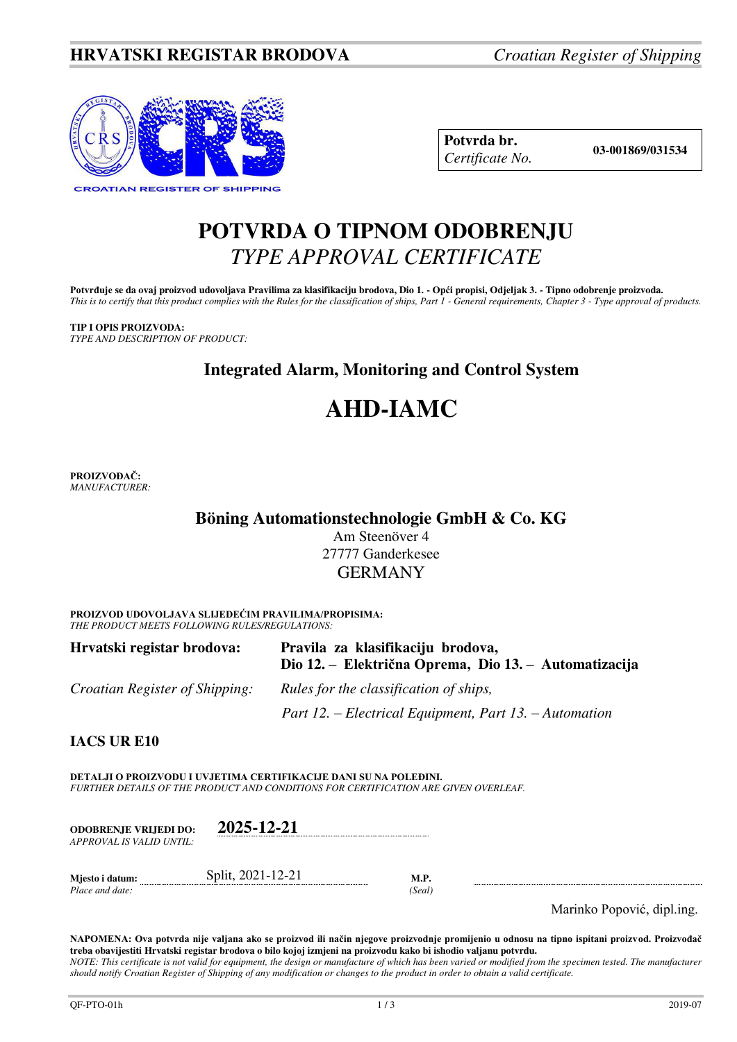## **HRVATSKI REGISTAR BRODOVA** *Croatian Register of Shipping*



**Potvrda br. 03-001869/031534** *Certificate No.* 

# **POTVRDA O TIPNOM ODOBRENJU**  *TYPE APPROVAL CERTIFICATE*

Potvrđuje se da ovaj proizvod udovoljava Pravilima za klasifikaciju brodova, Dio 1. - Opći propisi, Odjeljak 3. - Tipno odobrenje proizvoda. *This is to certify that this product complies with the Rules for the classification of ships, Part 1 - General requirements, Chapter 3 - Type approval of products.* 

**TIP I OPIS PROIZVODA:** *TYPE AND DESCRIPTION OF PRODUCT:* 

# **Integrated Alarm, Monitoring and Control System**

# **AHD-IAMC**

**PROIZVOĐAČ:** *MANUFACTURER:*

## **Böning Automationstechnologie GmbH & Co. KG**

Am Steenöver 4 27777 Ganderkesee GERMANY

**PROIZVOD UDOVOLJAVA SLIJEDEĆIM PRAVILIMA/PROPISIMA:** *THE PRODUCT MEETS FOLLOWING RULES/REGULATIONS:* 

| Hrvatski registar brodova:            | Pravila za klasifikaciju brodova,<br>Dio 12. – Električna Oprema, Dio 13. – Automatizacija |
|---------------------------------------|--------------------------------------------------------------------------------------------|
| <i>Croatian Register of Shipping:</i> | Rules for the classification of ships,                                                     |
|                                       | Part 12. – Electrical Equipment, Part 13. – Automation                                     |

**IACS UR E10**

**DETALJI O PROIZVODU I UVJETIMA CERTIFIKACIJE DANI SU NA POLEĐINI.** *FURTHER DETAILS OF THE PRODUCT AND CONDITIONS FOR CERTIFICATION ARE GIVEN OVERLEAF.* 

| <b>ODOBRENJE VRLIEDI DO:</b> | 2025-12-21        |     |
|------------------------------|-------------------|-----|
| APPROVAL IS VALID UNTIL:     |                   |     |
| Miesto i datum:              | Split, 2021-12-21 | M.P |

*Place and date:* (Seal)

Marinko Popović, dipl.ing.

**NAPOMENA: Ova potvrda nije valjana ako se proizvod ili način njegove proizvodnje promijenio u odnosu na tipno ispitani proizvod. Proizvođač treba obavijestiti Hrvatski registar brodova o bilo kojoj izmjeni na proizvodu kako bi ishodio valjanu potvrdu.**  *NOTE: This certificate is not valid for equipment, the design or manufacture of which has been varied or modified from the specimen tested. The manufacturer should notify Croatian Register of Shipping of any modification or changes to the product in order to obtain a valid certificate.*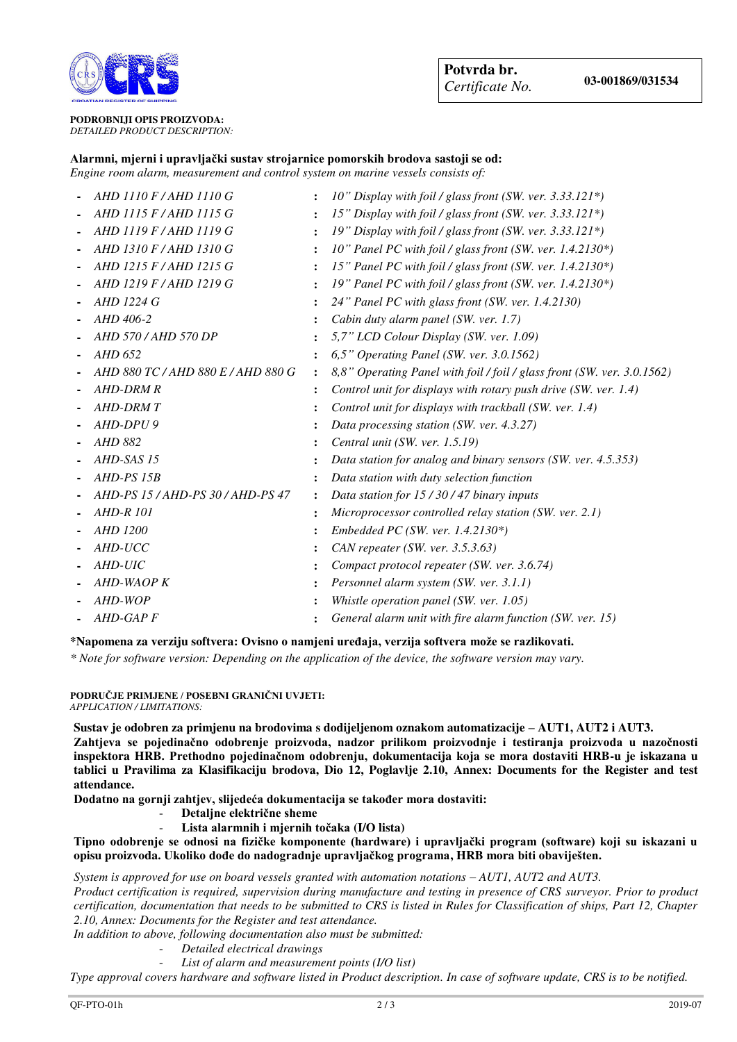

### **PODROBNIJI OPIS PROIZVODA:** *DETAILED PRODUCT DESCRIPTION:*

## **Alarmni, mjerni i upravljački sustav strojarnice pomorskih brodova sastoji se od:**

*Engine room alarm, measurement and control system on marine vessels consists of:*

| AHD 1110 F/AHD 1110 G              | $\ddot{\cdot}$       | 10" Display with foil / glass front (SW. ver. 3.33.121*)                |
|------------------------------------|----------------------|-------------------------------------------------------------------------|
| AHD 1115 F/AHD 1115 G              |                      | 15" Display with foil / glass front (SW. ver. 3.33.121*)                |
| AHD 1119 F/AHD 1119 G              | $\ddot{\phantom{a}}$ | 19" Display with foil / glass front (SW. ver. 3.33.121*)                |
| AHD 1310 F / AHD 1310 G            | $\ddot{\phantom{a}}$ | 10" Panel PC with foil / glass front (SW. ver. 1.4.2130*)               |
| AHD 1215 F / AHD 1215 G            |                      | 15" Panel PC with foil / glass front (SW. ver. 1.4.2130*)               |
| AHD 1219 F/AHD 1219 G              |                      | 19" Panel PC with foil / glass front (SW. ver. 1.4.2130*)               |
| AHD 1224 G                         |                      | 24" Panel PC with glass front (SW. ver. 1.4.2130)                       |
| AHD 406-2                          |                      | Cabin duty alarm panel (SW. ver. 1.7)                                   |
| AHD 570 / AHD 570 DP               |                      | 5,7" LCD Colour Display (SW. ver. 1.09)                                 |
| AHD 652                            |                      | $6.5$ " Operating Panel (SW. ver. 3.0.1562)                             |
| AHD 880 TC / AHD 880 E / AHD 880 G | $\ddot{\cdot}$       | 8,8" Operating Panel with foil / foil / glass front (SW. ver. 3.0.1562) |
| <b>AHD-DRM R</b>                   |                      | Control unit for displays with rotary push drive (SW. ver. 1.4)         |
| AHD-DRM T                          |                      | Control unit for displays with trackball (SW. ver. 1.4)                 |
| AHD-DPU 9                          |                      | Data processing station (SW. ver. 4.3.27)                               |
| AHD 882                            |                      | Central unit (SW. ver. 1.5.19)                                          |
| AHD-SAS 15                         |                      | Data station for analog and binary sensors (SW. ver. 4.5.353)           |
| AHD-PS 15B                         |                      | Data station with duty selection function                               |
| AHD-PS 15 / AHD-PS 30 / AHD-PS 47  |                      | Data station for $15/30/47$ binary inputs                               |
| <b>AHD-R 101</b>                   |                      | Microprocessor controlled relay station (SW. ver. 2.1)                  |
| <b>AHD 1200</b>                    |                      | Embedded PC (SW. ver. 1.4.2130*)                                        |
| AHD-UCC                            |                      | CAN repeater (SW. ver. $3.5.3.63$ )                                     |
| AHD-UIC                            |                      | Compact protocol repeater (SW. ver. 3.6.74)                             |
| AHD-WAOP K                         |                      | Personnel alarm system (SW. ver. 3.1.1)                                 |
| AHD-WOP                            |                      | Whistle operation panel (SW. ver. 1.05)                                 |
| AHD-GAP F                          |                      | General alarm unit with fire alarm function (SW. ver. 15)               |

### **\*Napomena za verziju softvera: Ovisno o namjeni uređaja, verzija softvera može se razlikovati.**

*\* Note for software version: Depending on the application of the device, the software version may vary.*

**PODRUČJE PRIMJENE / POSEBNI GRANIČNI UVJETI:** *APPLICATION / LIMITATIONS:* 

**Sustav je odobren za primjenu na brodovima s dodijeljenom oznakom automatizacije – AUT1, AUT2 i AUT3. Zahtjeva se pojedinačno odobrenje proizvoda, nadzor prilikom proizvodnje i testiranja proizvoda u nazočnosti inspektora HRB. Prethodno pojedinačnom odobrenju, dokumentacija koja se mora dostaviti HRB-u je iskazana u tablici u Pravilima za Klasifikaciju brodova, Dio 12, Poglavlje 2.10, Annex: Documents for the Register and test attendance.** 

**Dodatno na gornji zahtjev, slijedeća dokumentacija se također mora dostaviti:**

- **Detaljne električne sheme**
- **Lista alarmnih i mjernih točaka (I/O lista)**

**Tipno odobrenje se odnosi na fizičke komponente (hardware) i upravljački program (software) koji su iskazani u opisu proizvoda. Ukoliko dođe do nadogradnje upravljačkog programa, HRB mora biti obaviješten.** 

*System is approved for use on board vessels granted with automation notations – AUT1, AUT2 and AUT3.* 

*Product certification is required, supervision during manufacture and testing in presence of CRS surveyor. Prior to product certification, documentation that needs to be submitted to CRS is listed in Rules for Classification of ships, Part 12, Chapter 2.10, Annex: Documents for the Register and test attendance.* 

*In addition to above, following documentation also must be submitted:* 

- *Detailed electrical drawings*
- List of alarm and measurement points (I/O list)

*Type approval covers hardware and software listed in Product description. In case of software update, CRS is to be notified.*